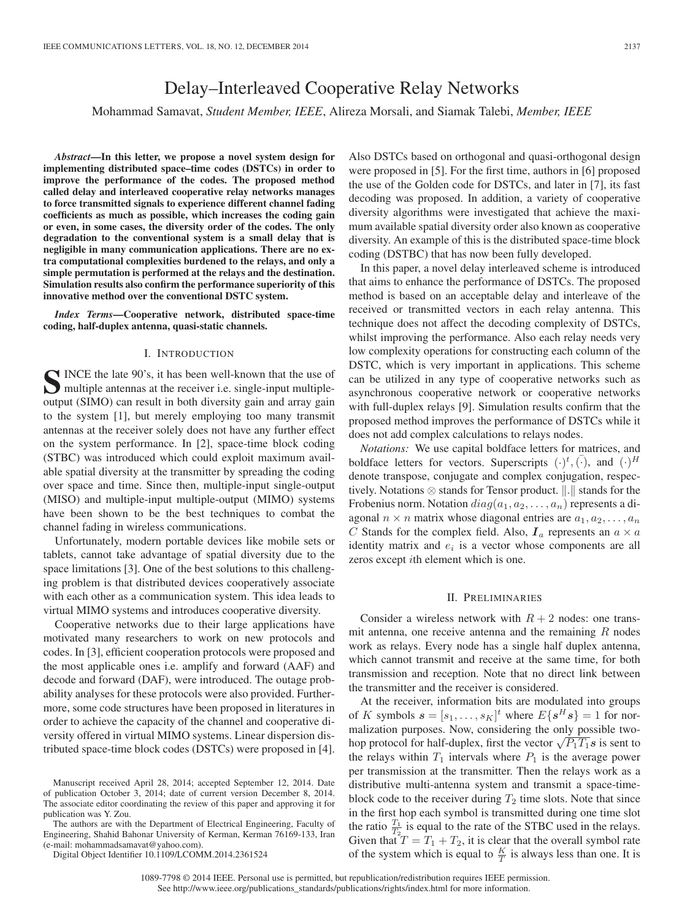# Delay–Interleaved Cooperative Relay Networks

Mohammad Samavat, *Student Member, IEEE*, Alireza Morsali, and Siamak Talebi, *Member, IEEE*

*Abstract***—In this letter, we propose a novel system design for implementing distributed space–time codes (DSTCs) in order to improve the performance of the codes. The proposed method called delay and interleaved cooperative relay networks manages to force transmitted signals to experience different channel fading coefficients as much as possible, which increases the coding gain or even, in some cases, the diversity order of the codes. The only degradation to the conventional system is a small delay that is negligible in many communication applications. There are no extra computational complexities burdened to the relays, and only a simple permutation is performed at the relays and the destination. Simulation results also confirm the performance superiority of this innovative method over the conventional DSTC system.**

*Index Terms***—Cooperative network, distributed space-time coding, half-duplex antenna, quasi-static channels.**

## I. INTRODUCTION

**S**INCE the late 90's, it has been well-known that the use of multiple antennas at the receiver i.e. single-input multipleoutput (SIMO) can result in both diversity gain and array gain to the system [1], but merely employing too many transmit antennas at the receiver solely does not have any further effect on the system performance. In [2], space-time block coding (STBC) was introduced which could exploit maximum available spatial diversity at the transmitter by spreading the coding over space and time. Since then, multiple-input single-output (MISO) and multiple-input multiple-output (MIMO) systems have been shown to be the best techniques to combat the channel fading in wireless communications.

Unfortunately, modern portable devices like mobile sets or tablets, cannot take advantage of spatial diversity due to the space limitations [3]. One of the best solutions to this challenging problem is that distributed devices cooperatively associate with each other as a communication system. This idea leads to virtual MIMO systems and introduces cooperative diversity.

Cooperative networks due to their large applications have motivated many researchers to work on new protocols and codes. In [3], efficient cooperation protocols were proposed and the most applicable ones i.e. amplify and forward (AAF) and decode and forward (DAF), were introduced. The outage probability analyses for these protocols were also provided. Furthermore, some code structures have been proposed in literatures in order to achieve the capacity of the channel and cooperative diversity offered in virtual MIMO systems. Linear dispersion distributed space-time block codes (DSTCs) were proposed in [4].

The authors are with the Department of Electrical Engineering, Faculty of Engineering, Shahid Bahonar University of Kerman, Kerman 76169-133, Iran (e-mail: mohammadsamavat@yahoo.com).

Digital Object Identifier 10.1109/LCOMM.2014.2361524

Also DSTCs based on orthogonal and quasi-orthogonal design were proposed in [5]. For the first time, authors in [6] proposed the use of the Golden code for DSTCs, and later in [7], its fast decoding was proposed. In addition, a variety of cooperative diversity algorithms were investigated that achieve the maximum available spatial diversity order also known as cooperative diversity. An example of this is the distributed space-time block coding (DSTBC) that has now been fully developed.

In this paper, a novel delay interleaved scheme is introduced that aims to enhance the performance of DSTCs. The proposed method is based on an acceptable delay and interleave of the received or transmitted vectors in each relay antenna. This technique does not affect the decoding complexity of DSTCs, whilst improving the performance. Also each relay needs very low complexity operations for constructing each column of the DSTC, which is very important in applications. This scheme can be utilized in any type of cooperative networks such as asynchronous cooperative network or cooperative networks with full-duplex relays [9]. Simulation results confirm that the proposed method improves the performance of DSTCs while it does not add complex calculations to relays nodes.

*Notations:* We use capital boldface letters for matrices, and boldface letters for vectors. Superscripts  $(\cdot)^t$ ,  $(\cdot)$ , and  $(\cdot)^H$ denote transpose, conjugate and complex conjugation, respectively. Notations  $\otimes$  stands for Tensor product.  $\Vert . \Vert$  stands for the Frobenius norm. Notation  $diag(a_1, a_2, \ldots, a_n)$  represents a diagonal  $n \times n$  matrix whose diagonal entries are  $a_1, a_2, \ldots, a_n$ C Stands for the complex field. Also,  $I_a$  represents an  $a \times a$ identity matrix and  $e_i$  is a vector whose components are all zeros except ith element which is one.

#### II. PRELIMINARIES

Consider a wireless network with  $R + 2$  nodes: one transmit antenna, one receive antenna and the remaining  $R$  nodes work as relays. Every node has a single half duplex antenna, which cannot transmit and receive at the same time, for both transmission and reception. Note that no direct link between the transmitter and the receiver is considered.

At the receiver, information bits are modulated into groups of K symbols  $\mathbf{s} = [s_1, \dots, s_K]^t$  where  $E\{\mathbf{s}^H\mathbf{s}\} = 1$  for normalization purposes. Now, considering the only possible twohop protocol for half-duplex, first the vector  $\sqrt{P_1T_1}s$  is sent to the relays within  $T_1$  intervals where  $P_1$  is the average power per transmission at the transmitter. Then the relays work as a distributive multi-antenna system and transmit a space-timeblock code to the receiver during  $T_2$  time slots. Note that since in the first hop each symbol is transmitted during one time slot the ratio  $\frac{T_1}{T_2}$  is equal to the rate of the STBC used in the relays. Given that  $T = T_1 + T_2$ , it is clear that the overall symbol rate of the system which is equal to  $\frac{K}{T}$  is always less than one. It is

Manuscript received April 28, 2014; accepted September 12, 2014. Date of publication October 3, 2014; date of current version December 8, 2014. The associate editor coordinating the review of this paper and approving it for publication was Y. Zou.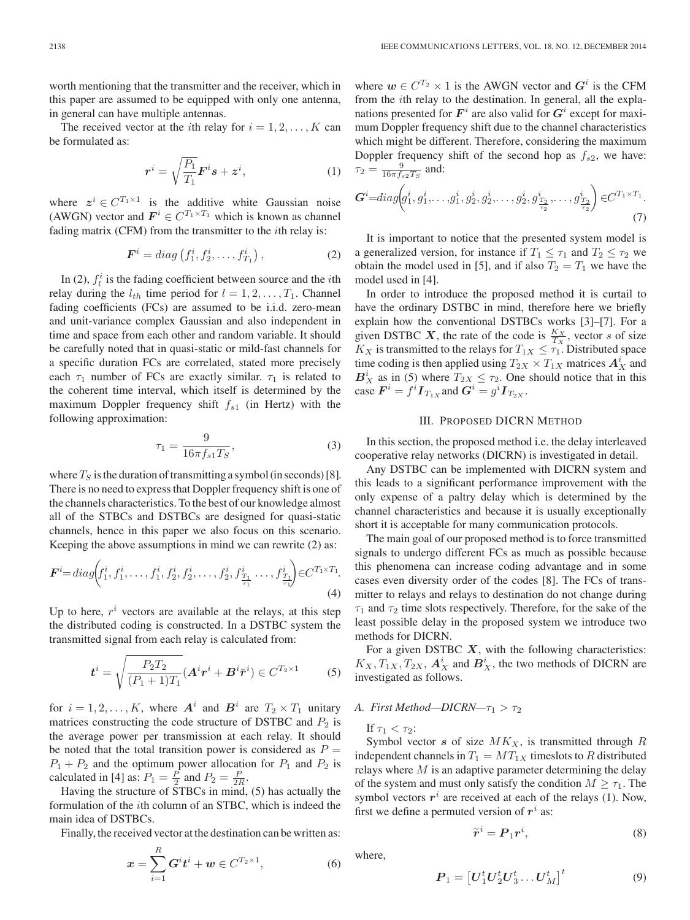worth mentioning that the transmitter and the receiver, which in this paper are assumed to be equipped with only one antenna, in general can have multiple antennas.

The received vector at the *i*th relay for  $i = 1, 2, \dots, K$  can be formulated as:

$$
\boldsymbol{r}^{i} = \sqrt{\frac{P_1}{T_1}} \boldsymbol{F}^{i} \boldsymbol{s} + \boldsymbol{z}^{i}, \tag{1}
$$

where  $z^i \in C^{T_1 \times 1}$  is the additive white Gaussian noise (AWGN) vector and  $\mathbf{F}^i \in C^{T_1 \times T_1}$  which is known as channel fading matrix (CFM) from the transmitter to the ith relay is:

$$
\boldsymbol{F}^i = diag\left(f_1^i, f_2^i, \dots, f_{T_1}^i\right),\tag{2}
$$

In (2),  $f_l^i$  is the fading coefficient between source and the *i*th relay during the  $l_{th}$  time period for  $l = 1, 2, \ldots, T_1$ . Channel fading coefficients (FCs) are assumed to be i.i.d. zero-mean and unit-variance complex Gaussian and also independent in time and space from each other and random variable. It should be carefully noted that in quasi-static or mild-fast channels for a specific duration FCs are correlated, stated more precisely each  $\tau_1$  number of FCs are exactly similar.  $\tau_1$  is related to the coherent time interval, which itself is determined by the maximum Doppler frequency shift  $f_{s1}$  (in Hertz) with the following approximation:

$$
\tau_1 = \frac{9}{16\pi f_{s1} T_S},\tag{3}
$$

where  $T<sub>S</sub>$  is the duration of transmitting a symbol (in seconds) [8]. There is no need to express that Doppler frequency shift is one of the channels characteristics. To the best of our knowledge almost all of the STBCs and DSTBCs are designed for quasi-static channels, hence in this paper we also focus on this scenario. Keeping the above assumptions in mind we can rewrite (2) as:

$$
\boldsymbol{F}^{i} = diag(f_1^i, f_1^i, \dots, f_1^i, f_2^i, f_2^i, \dots, f_2^i, f_{\frac{T_1}{\tau_1}}^i, \dots, f_{\frac{T_1}{\tau_1}}^i) \in C^{T_1 \times T_1}.
$$
\n(4)

Up to here,  $r^i$  vectors are available at the relays, at this step the distributed coding is constructed. In a DSTBC system the transmitted signal from each relay is calculated from:

$$
\boldsymbol{t}^{i} = \sqrt{\frac{P_2 T_2}{(P_1 + 1)T_1}} (\boldsymbol{A}^{i} \boldsymbol{r}^{i} + \boldsymbol{B}^{i} \bar{\boldsymbol{r}}^{i}) \in C^{T_2 \times 1}
$$
 (5)

for  $i = 1, 2, ..., K$ , where  $A^i$  and  $B^i$  are  $T_2 \times T_1$  unitary matrices constructing the code structure of DSTBC and  $P_2$  is the average power per transmission at each relay. It should be noted that the total transition power is considered as  $P =$  $P_1 + P_2$  and the optimum power allocation for  $P_1$  and  $P_2$  is calculated in [4] as:  $P_1 = \frac{P}{2}$  and  $P_2 = \frac{P}{2R}$ .

Having the structure of STBCs in mind, (5) has actually the formulation of the ith column of an STBC, which is indeed the main idea of DSTBCs.

Finally, the received vector at the destination can be written as:

$$
x = \sum_{i=1}^{R} G^{i} t^{i} + w \in C^{T_{2} \times 1},
$$
 (6)

where  $w \in C^{T_2} \times 1$  is the AWGN vector and  $G^i$  is the CFM from the ith relay to the destination. In general, all the explanations presented for  $F^i$  are also valid for  $G^i$  except for maximum Doppler frequency shift due to the channel characteristics which might be different. Therefore, considering the maximum Doppler frequency shift of the second hop as  $f_{s2}$ , we have:  $\tau_2 = \frac{9}{16\pi f_{s2}T_S}$  and:

$$
G^{i} = diag\left(g_1^i, g_1^i, \ldots, g_1^i, g_2^i, g_2^i, \ldots, g_2^i, g_{\frac{T_2}{\tau_2}}^i, \ldots, g_{\frac{T_2}{\tau_2}}^i\right) \in C^{T_1 \times T_1}.
$$
\n(7)

It is important to notice that the presented system model is a generalized version, for instance if  $T_1 \leq \tau_1$  and  $T_2 \leq \tau_2$  we obtain the model used in [5], and if also  $T_2 = T_1$  we have the model used in [4].

In order to introduce the proposed method it is curtail to have the ordinary DSTBC in mind, therefore here we briefly explain how the conventional DSTBCs works [3]–[7]. For a given DSTBC X, the rate of the code is  $\frac{K_X}{T_X}$ , vector s of size  $K_X$  is transmitted to the relays for  $T_{1X} \leq \tau_1$ . Distributed space time coding is then applied using  $T_{2X} \times T_{1X}$  matrices  $A_X^i$  and  $B_X^i$  as in (5) where  $T_{2X} \leq \tau_2$ . One should notice that in this  $\text{case } \boldsymbol{F}^i = f^i \boldsymbol{I}_{T_{1X}} \text{and } \boldsymbol{G}^i = g^i \boldsymbol{I}_{T_{2X}}.$ 

#### III. PROPOSED DICRN METHOD

In this section, the proposed method i.e. the delay interleaved cooperative relay networks (DICRN) is investigated in detail.

Any DSTBC can be implemented with DICRN system and this leads to a significant performance improvement with the only expense of a paltry delay which is determined by the channel characteristics and because it is usually exceptionally short it is acceptable for many communication protocols.

The main goal of our proposed method is to force transmitted signals to undergo different FCs as much as possible because this phenomena can increase coding advantage and in some cases even diversity order of the codes [8]. The FCs of transmitter to relays and relays to destination do not change during  $\tau_1$  and  $\tau_2$  time slots respectively. Therefore, for the sake of the least possible delay in the proposed system we introduce two methods for DICRN.

For a given DSTBC *X*, with the following characteristics:  $K_X, T_{1X}, T_{2X}, A_X^i$  and  $B_X^i$ , the two methods of DICRN are investigated as follows.

## *A. First Method—DICRN—* $\tau_1 > \tau_2$

If  $\tau_1 < \tau_2$ :

Symbol vector  $s$  of size  $MK_X$ , is transmitted through  $R$ independent channels in  $T_1 = MT_{1X}$  timeslots to R distributed relays where  $M$  is an adaptive parameter determining the delay of the system and must only satisfy the condition  $M \geq \tau_1$ . The symbol vectors  $r^i$  are received at each of the relays (1). Now, first we define a permuted version of  $r^i$  as:

$$
\widetilde{\boldsymbol{r}}^i = \boldsymbol{P}_1 \boldsymbol{r}^i,\tag{8}
$$

where,

$$
\boldsymbol{P}_1 = \left[ \boldsymbol{U}_1^t \boldsymbol{U}_2^t \boldsymbol{U}_3^t \dots \boldsymbol{U}_M^t \right]^t \tag{9}
$$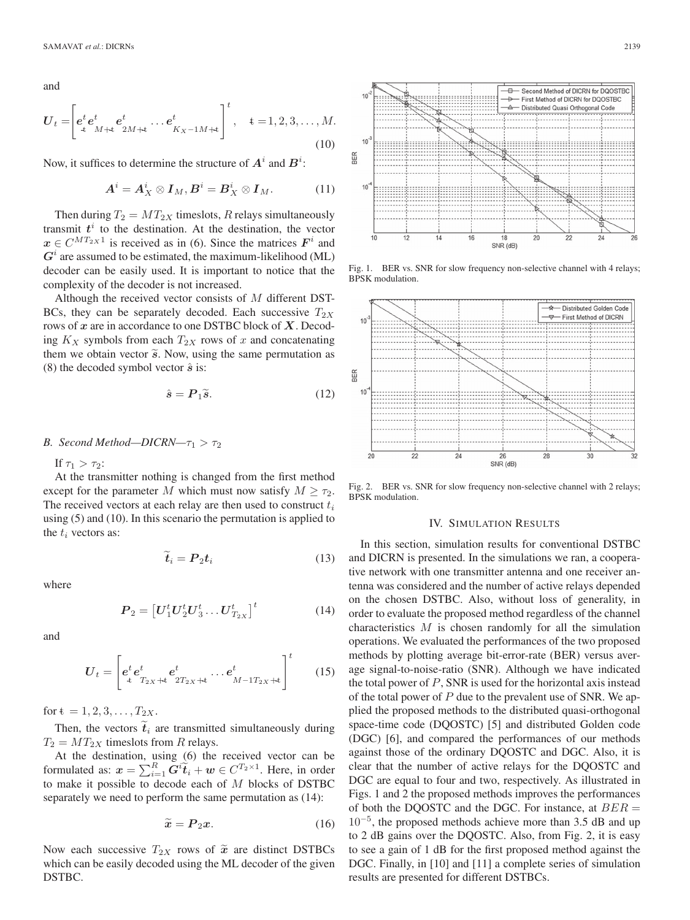and

$$
\boldsymbol{U}_{t} = \left[ \boldsymbol{e}_{t}^{t} \boldsymbol{e}_{M+t}^{t} \boldsymbol{e}_{2M+t}^{t} \dots \boldsymbol{e}_{K_{X}-1M+t}^{t} \right]^{t}, \quad t = 1, 2, 3, \dots, M.
$$
\n(10)

Now, it suffices to determine the structure of  $A^i$  and  $B^i$ :

$$
A^i = A^i_X \otimes I_M, B^i = B^i_X \otimes I_M. \tag{11}
$$

Then during  $T_2 = MT_{2X}$  timeslots, R relays simultaneously transmit  $t^i$  to the destination. At the destination, the vector  $x \in C^{MT_{2X}1}$  is received as in (6). Since the matrices  $F^{i}$  and  $G<sup>i</sup>$  are assumed to be estimated, the maximum-likelihood (ML) decoder can be easily used. It is important to notice that the complexity of the decoder is not increased.

Although the received vector consists of  $M$  different DST-BCs, they can be separately decoded. Each successive  $T_{2X}$ rows of *x* are in accordance to one DSTBC block of *X*. Decoding  $K_X$  symbols from each  $T_{2X}$  rows of x and concatenating them we obtain vector  $\tilde{s}$ . Now, using the same permutation as (8) the decoded symbol vector *s*ˆ is:

$$
\hat{\mathbf{s}} = \mathbf{P}_1 \tilde{\mathbf{s}}.\tag{12}
$$

# *B.* Second Method—DICRN— $\tau_1 > \tau_2$

If  $\tau_1 > \tau_2$ :

At the transmitter nothing is changed from the first method except for the parameter M which must now satisfy  $M \geq \tau_2$ . The received vectors at each relay are then used to construct  $t_i$ using (5) and (10). In this scenario the permutation is applied to the  $t_i$  vectors as:

$$
\dot{\boldsymbol{t}}_i = \boldsymbol{P}_2 \boldsymbol{t}_i \tag{13}
$$

where

$$
\boldsymbol{P}_2 = \left[ \boldsymbol{U}_1^t \boldsymbol{U}_2^t \boldsymbol{U}_3^t \dots \boldsymbol{U}_{T_{2X}}^t \right]^t \tag{14}
$$

and

$$
U_t = \begin{bmatrix} e^t e^t_{x_{2x} + t} & e^t_{x_{2x} + t} & \dots & e^t_{M-1} & t_{2x} + t \\ e^t e^t_{x_{2x} + t} & e^t_{x_{2x} + t} & \dots & e^t_{M-1} & t_{2x} + t \end{bmatrix}^t
$$
 (15)

for  $t = 1, 2, 3, \ldots, T_{2X}$ .

Then, the vectors  $\tilde{t}_i$  are transmitted simultaneously during  $T_2 = MT_{2X}$  timeslots from R relays.

At the destination, using (6) the received vector can be formulated as:  $x = \sum_{i=1}^{R} \tilde{G}^{i} \tilde{t}_{i} + w \in C^{T_{2} \times 1}$ . Here, in order to make it possible to decode each of M blocks of DSTBC separately we need to perform the same permutation as (14):

$$
\widetilde{\boldsymbol{x}} = \boldsymbol{P}_2 \boldsymbol{x}.\tag{16}
$$

Now each successive  $T_{2X}$  rows of  $\tilde{x}$  are distinct DSTBCs which can be easily decoded using the ML decoder of the given DSTBC.



Fig. 1. BER vs. SNR for slow frequency non-selective channel with 4 relays; BPSK modulation.



Fig. 2. BER vs. SNR for slow frequency non-selective channel with 2 relays; BPSK modulation.

#### IV. SIMULATION RESULTS

In this section, simulation results for conventional DSTBC and DICRN is presented. In the simulations we ran, a cooperative network with one transmitter antenna and one receiver antenna was considered and the number of active relays depended on the chosen DSTBC. Also, without loss of generality, in order to evaluate the proposed method regardless of the channel characteristics  $M$  is chosen randomly for all the simulation operations. We evaluated the performances of the two proposed methods by plotting average bit-error-rate (BER) versus average signal-to-noise-ratio (SNR). Although we have indicated the total power of  $P$ , SNR is used for the horizontal axis instead of the total power of  $P$  due to the prevalent use of SNR. We applied the proposed methods to the distributed quasi-orthogonal space-time code (DQOSTC) [5] and distributed Golden code (DGC) [6], and compared the performances of our methods against those of the ordinary DQOSTC and DGC. Also, it is clear that the number of active relays for the DQOSTC and DGC are equal to four and two, respectively. As illustrated in Figs. 1 and 2 the proposed methods improves the performances of both the DQOSTC and the DGC. For instance, at  $BER =$  $10^{-5}$ , the proposed methods achieve more than 3.5 dB and up to 2 dB gains over the DQOSTC. Also, from Fig. 2, it is easy to see a gain of 1 dB for the first proposed method against the DGC. Finally, in [10] and [11] a complete series of simulation results are presented for different DSTBCs.